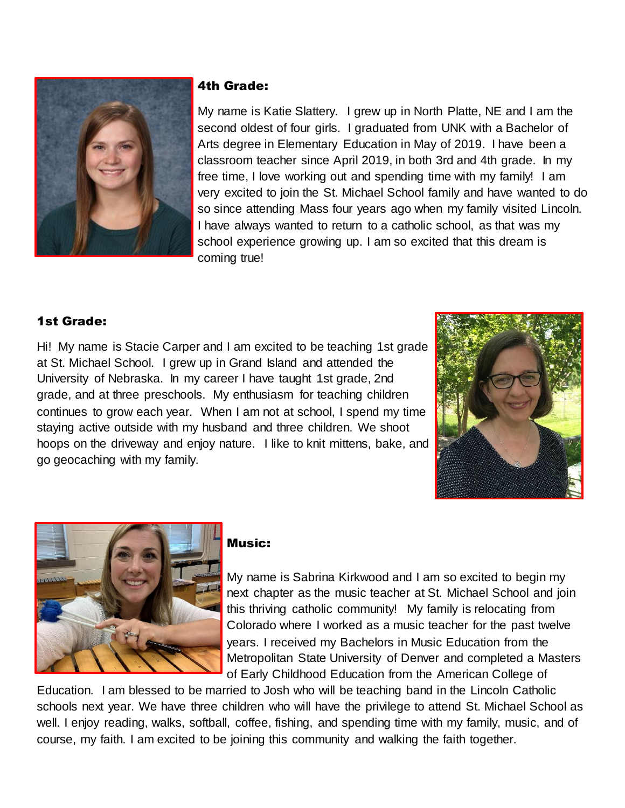

#### 4th Grade:

My name is Katie Slattery. I grew up in North Platte, NE and I am the second oldest of four girls. I graduated from UNK with a Bachelor of Arts degree in Elementary Education in May of 2019. I have been a classroom teacher since April 2019, in both 3rd and 4th grade. In my free time, I love working out and spending time with my family! I am very excited to join the St. Michael School family and have wanted to do so since attending Mass four years ago when my family visited Lincoln. I have always wanted to return to a catholic school, as that was my school experience growing up. I am so excited that this dream is coming true!

## 1st Grade:

Hi! My name is Stacie Carper and I am excited to be teaching 1st grade at St. Michael School. I grew up in Grand Island and attended the University of Nebraska. In my career I have taught 1st grade, 2nd grade, and at three preschools. My enthusiasm for teaching children continues to grow each year. When I am not at school, I spend my time staying active outside with my husband and three children. We shoot hoops on the driveway and enjoy nature. I like to knit mittens, bake, and go geocaching with my family.





# Music:

My name is Sabrina Kirkwood and I am so excited to begin my next chapter as the music teacher at St. Michael School and join this thriving catholic community! My family is relocating from Colorado where I worked as a music teacher for the past twelve years. I received my Bachelors in Music Education from the Metropolitan State University of Denver and completed a Masters of Early Childhood Education from the American College of

Education. I am blessed to be married to Josh who will be teaching band in the Lincoln Catholic schools next year. We have three children who will have the privilege to attend St. Michael School as well. I enjoy reading, walks, softball, coffee, fishing, and spending time with my family, music, and of course, my faith. I am excited to be joining this community and walking the faith together.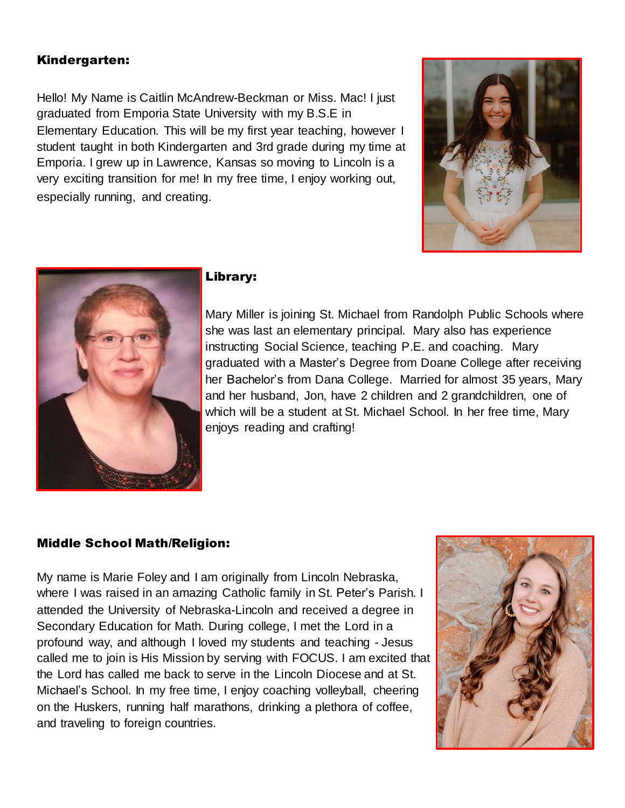#### Kindergarten:

Hello! My Name is Caitlin McAndrew-Beckman or Miss. Mac! I just graduated from Emporia State University with my B.S.E in Elementary Education. This will be my first year teaching, however I student taught in both Kindergarten and 3rd grade during my time at Emporia. I grew up in Lawrence, Kansas so moving to Lincoln is a very exciting transition for me! In my free time, I enjoy working out, especially running, and creating.





#### Library:

Mary Miller is joining St. Michael from Randolph Public Schools where she was last an elementary principal. Mary also has experience instructing Social Science, teaching P.E. and coaching. Mary graduated with a Master's Degree from Doane College after receiving her Bachelor's from Dana College. Married for almost 35 years, Mary and her husband, Jon, have 2 children and 2 grandchildren, one of which will be a student at St. Michael School. In her free time, Mary enjoys reading and crafting!

#### Middle School Math/Religion:

My name is Marie Foley and I am originally from Lincoln Nebraska, where I was raised in an amazing Catholic family in St. Peter's Parish. I attended the University of Nebraska-Lincoln and received a degree in Secondary Education for Math. During college, I met the Lord in a profound way, and although I loved my students and teaching - Jesus called me to join is His Mission by serving with FOCUS. I am excited that the Lord has called me back to serve in the Lincoln Diocese and at St. Michael's School. In my free time, I enjoy coaching volleyball, cheering on the Huskers, running half marathons, drinking a plethora of coffee, and traveling to foreign countries.

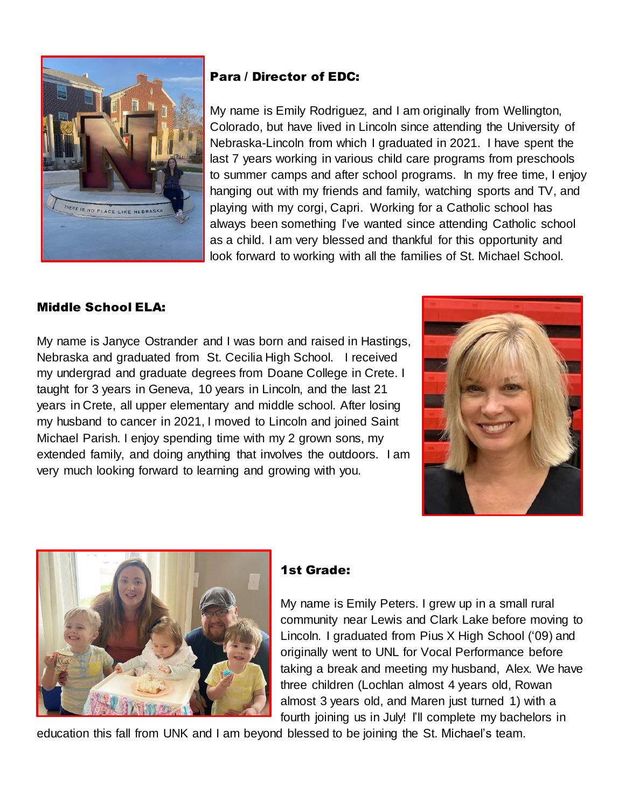

## Para / Director of EDC:

My name is Emily Rodriguez, and I am originally from Wellington, Colorado, but have lived in Lincoln since attending the University of Nebraska-Lincoln from which I graduated in 2021. I have spent the last 7 years working in various child care programs from preschools to summer camps and after school programs. In my free time, I enjoy hanging out with my friends and family, watching sports and TV, and playing with my corgi, Capri. Working for a Catholic school has always been something I've wanted since attending Catholic school as a child. I am very blessed and thankful for this opportunity and look forward to working with all the families of St. Michael School.

# Middle School ELA:

My name is Janyce Ostrander and I was born and raised in Hastings, Nebraska and graduated from St. Cecilia High School. I received my undergrad and graduate degrees from Doane College in Crete. I taught for 3 years in Geneva, 10 years in Lincoln, and the last 21 years in Crete, all upper elementary and middle school. After losing my husband to cancer in 2021, I moved to Lincoln and joined Saint Michael Parish. I enjoy spending time with my 2 grown sons, my extended family, and doing anything that involves the outdoors. I am very much looking forward to learning and growing with you.





## 1st Grade:

My name is Emily Peters. I grew up in a small rural community near Lewis and Clark Lake before moving to Lincoln. I graduated from Pius X High School ('09) and originally went to UNL for Vocal Performance before taking a break and meeting my husband, Alex. We have three children (Lochlan almost 4 years old, Rowan almost 3 years old, and Maren just turned 1) with a fourth joining us in July! I'll complete my bachelors in

education this fall from UNK and I am beyond blessed to be joining the St. Michael's team.